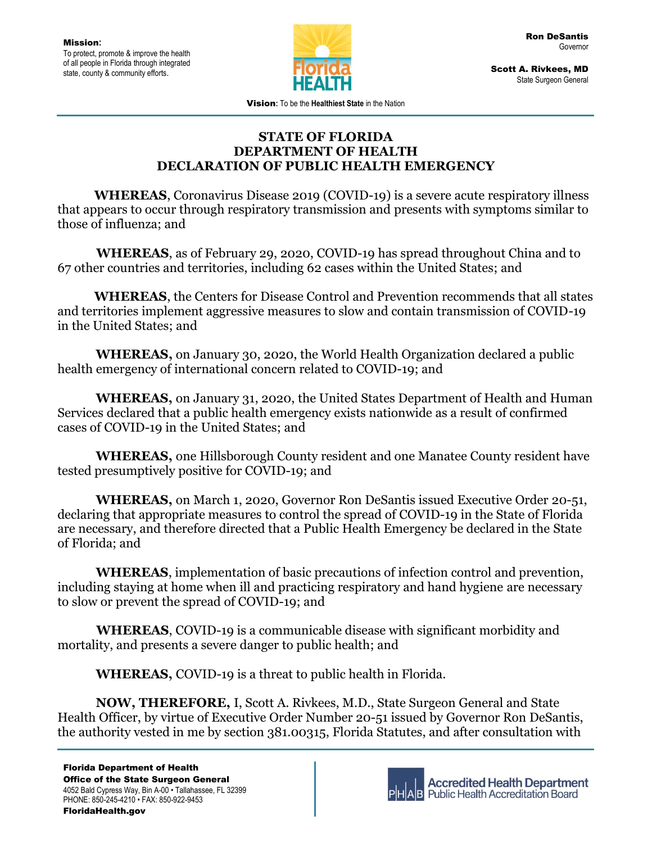

Scott A. Rivkees, MD State Surgeon General

Vision**:** To be the **Healthiest State** in the Nation

## **STATE OF FLORIDA DEPARTMENT OF HEALTH DECLARATION OF PUBLIC HEALTH EMERGENCY**

 **WHEREAS**, Coronavirus Disease 2019 (COVID-19) is a severe acute respiratory illness that appears to occur through respiratory transmission and presents with symptoms similar to those of influenza; and

 **WHEREAS**, as of February 29, 2020, COVID-19 has spread throughout China and to 67 other countries and territories, including 62 cases within the United States; and

 **WHEREAS**, the Centers for Disease Control and Prevention recommends that all states and territories implement aggressive measures to slow and contain transmission of COVID-19 in the United States; and

**WHEREAS,** on January 30, 2020, the World Health Organization declared a public health emergency of international concern related to COVID-19; and

**WHEREAS,** on January 31, 2020, the United States Department of Health and Human Services declared that a public health emergency exists nationwide as a result of confirmed cases of COVID-19 in the United States; and

**WHEREAS,** one Hillsborough County resident and one Manatee County resident have tested presumptively positive for COVID-19; and

**WHEREAS,** on March 1, 2020, Governor Ron DeSantis issued Executive Order 20-51, declaring that appropriate measures to control the spread of COVID-19 in the State of Florida are necessary, and therefore directed that a Public Health Emergency be declared in the State of Florida; and

**WHEREAS**, implementation of basic precautions of infection control and prevention, including staying at home when ill and practicing respiratory and hand hygiene are necessary to slow or prevent the spread of COVID-19; and

 **WHEREAS**, COVID-19 is a communicable disease with significant morbidity and mortality, and presents a severe danger to public health; and

**WHEREAS,** COVID-19 is a threat to public health in Florida.

**NOW, THEREFORE,** I, Scott A. Rivkees, M.D., State Surgeon General and State Health Officer, by virtue of Executive Order Number 20-51 issued by Governor Ron DeSantis, the authority vested in me by section 381.00315, Florida Statutes, and after consultation with



**Accredited Health Department Public Health Accreditation Board**